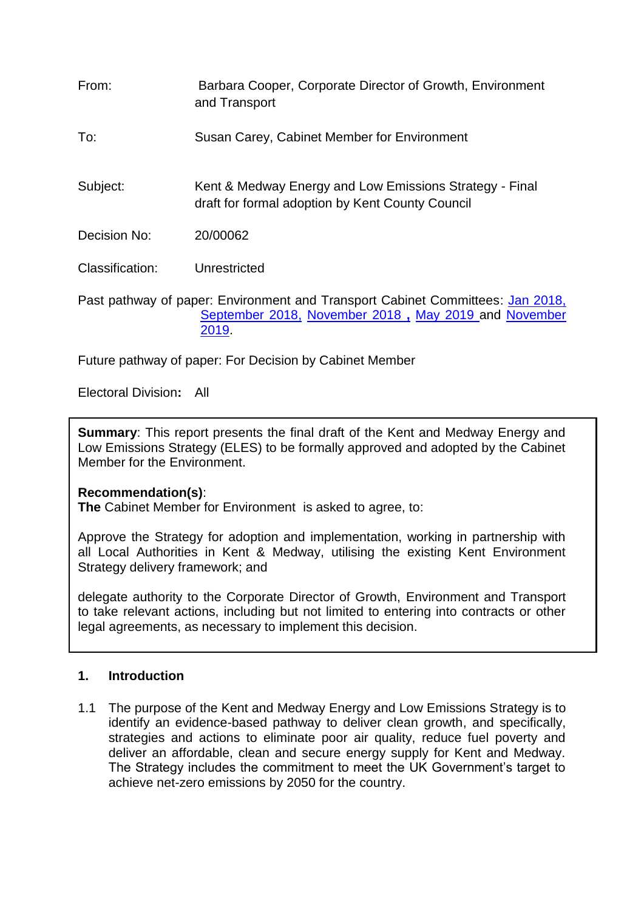| From:           | Barbara Cooper, Corporate Director of Growth, Environment<br>and Transport                                                                      |
|-----------------|-------------------------------------------------------------------------------------------------------------------------------------------------|
| To:             | Susan Carey, Cabinet Member for Environment                                                                                                     |
| Subject:        | Kent & Medway Energy and Low Emissions Strategy - Final<br>draft for formal adoption by Kent County Council                                     |
| Decision No:    | 20/00062                                                                                                                                        |
| Classification: | Unrestricted                                                                                                                                    |
|                 | Past pathway of paper: Environment and Transport Cabinet Committees: Jan 2018,<br>September 2018, November 2018, May 2019 and November<br>2019. |

Future pathway of paper: For Decision by Cabinet Member

Electoral Division**:** All

**Summary**: This report presents the final draft of the Kent and Medway Energy and Low Emissions Strategy (ELES) to be formally approved and adopted by the Cabinet Member for the Environment.

#### **Recommendation(s)**:

**The** Cabinet Member for Environment is asked to agree, to:

Approve the Strategy for adoption and implementation, working in partnership with all Local Authorities in Kent & Medway, utilising the existing Kent Environment Strategy delivery framework; and

delegate authority to the Corporate Director of Growth, Environment and Transport to take relevant actions, including but not limited to entering into contracts or other legal agreements, as necessary to implement this decision.

#### **1. Introduction**

1.1 The purpose of the Kent and Medway Energy and Low Emissions Strategy is to identify an evidence-based pathway to deliver clean growth, and specifically, strategies and actions to eliminate poor air quality, reduce fuel poverty and deliver an affordable, clean and secure energy supply for Kent and Medway. The Strategy includes the commitment to meet the UK Government's target to achieve net-zero emissions by 2050 for the country.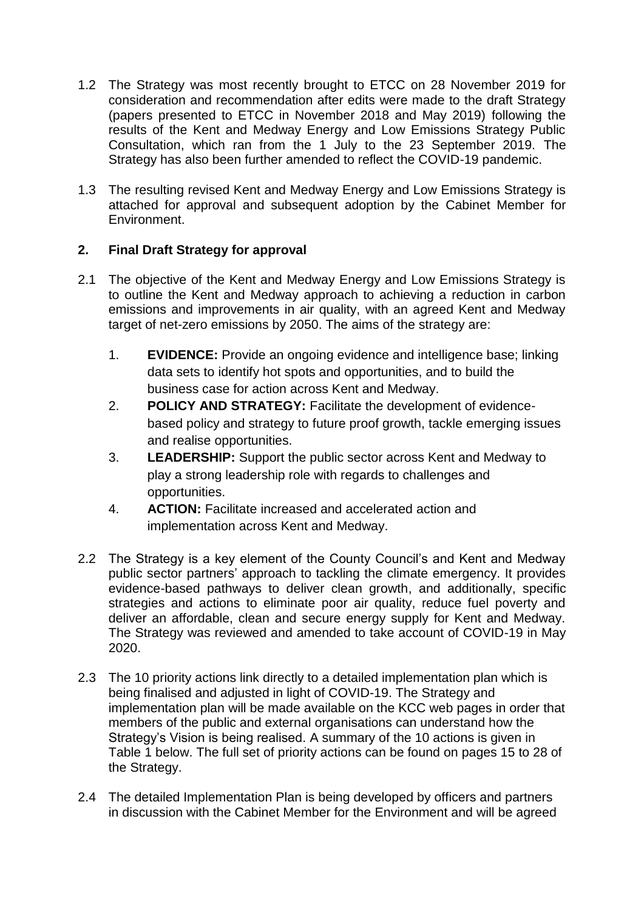- 1.2 The Strategy was most recently brought to ETCC on 28 November 2019 for consideration and recommendation after edits were made to the draft Strategy (papers presented to ETCC in November 2018 and May 2019) following the results of the Kent and Medway Energy and Low Emissions Strategy Public Consultation, which ran from the 1 July to the 23 September 2019. The Strategy has also been further amended to reflect the COVID-19 pandemic.
- 1.3 The resulting revised Kent and Medway Energy and Low Emissions Strategy is attached for approval and subsequent adoption by the Cabinet Member for Environment.

# **2. Final Draft Strategy for approval**

- 2.1 The objective of the Kent and Medway Energy and Low Emissions Strategy is to outline the Kent and Medway approach to achieving a reduction in carbon emissions and improvements in air quality, with an agreed Kent and Medway target of net-zero emissions by 2050. The aims of the strategy are:
	- 1. **EVIDENCE:** Provide an ongoing evidence and intelligence base; linking data sets to identify hot spots and opportunities, and to build the business case for action across Kent and Medway.
	- 2. **POLICY AND STRATEGY:** Facilitate the development of evidencebased policy and strategy to future proof growth, tackle emerging issues and realise opportunities.
	- 3. **LEADERSHIP:** Support the public sector across Kent and Medway to play a strong leadership role with regards to challenges and opportunities.
	- 4. **ACTION:** Facilitate increased and accelerated action and implementation across Kent and Medway.
- 2.2 The Strategy is a key element of the County Council's and Kent and Medway public sector partners' approach to tackling the climate emergency. It provides evidence-based pathways to deliver clean growth, and additionally, specific strategies and actions to eliminate poor air quality, reduce fuel poverty and deliver an affordable, clean and secure energy supply for Kent and Medway. The Strategy was reviewed and amended to take account of COVID-19 in May 2020.
- 2.3 The 10 priority actions link directly to a detailed implementation plan which is being finalised and adjusted in light of COVID-19. The Strategy and implementation plan will be made available on the KCC web pages in order that members of the public and external organisations can understand how the Strategy's Vision is being realised. A summary of the 10 actions is given in Table 1 below. The full set of priority actions can be found on pages 15 to 28 of the Strategy.
- 2.4 The detailed Implementation Plan is being developed by officers and partners in discussion with the Cabinet Member for the Environment and will be agreed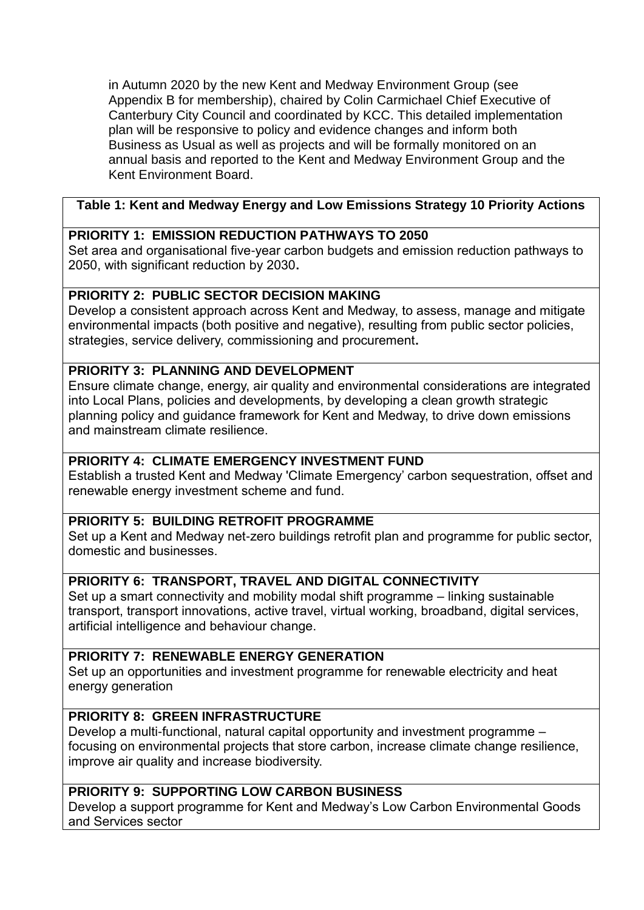in Autumn 2020 by the new Kent and Medway Environment Group (see Appendix B for membership), chaired by Colin Carmichael Chief Executive of Canterbury City Council and coordinated by KCC. This detailed implementation plan will be responsive to policy and evidence changes and inform both Business as Usual as well as projects and will be formally monitored on an annual basis and reported to the Kent and Medway Environment Group and the Kent Environment Board.

# **Table 1: Kent and Medway Energy and Low Emissions Strategy 10 Priority Actions**

### **PRIORITY 1: EMISSION REDUCTION PATHWAYS TO 2050**

Set area and organisational five-year carbon budgets and emission reduction pathways to 2050, with significant reduction by 2030**.**

# **PRIORITY 2: PUBLIC SECTOR DECISION MAKING**

Develop a consistent approach across Kent and Medway, to assess, manage and mitigate environmental impacts (both positive and negative), resulting from public sector policies, strategies, service delivery, commissioning and procurement**.**

# **PRIORITY 3: PLANNING AND DEVELOPMENT**

Ensure climate change, energy, air quality and environmental considerations are integrated into Local Plans, policies and developments, by developing a clean growth strategic planning policy and guidance framework for Kent and Medway, to drive down emissions and mainstream climate resilience.

### **PRIORITY 4: CLIMATE EMERGENCY INVESTMENT FUND**

Establish a trusted Kent and Medway 'Climate Emergency' carbon sequestration, offset and renewable energy investment scheme and fund.

### **PRIORITY 5: BUILDING RETROFIT PROGRAMME**

Set up a Kent and Medway net-zero buildings retrofit plan and programme for public sector, domestic and businesses.

### **PRIORITY 6: TRANSPORT, TRAVEL AND DIGITAL CONNECTIVITY**

Set up a smart connectivity and mobility modal shift programme – linking sustainable transport, transport innovations, active travel, virtual working, broadband, digital services, artificial intelligence and behaviour change.

# **PRIORITY 7: RENEWABLE ENERGY GENERATION**

Set up an opportunities and investment programme for renewable electricity and heat energy generation

### **PRIORITY 8: GREEN INFRASTRUCTURE**

Develop a multi-functional, natural capital opportunity and investment programme – focusing on environmental projects that store carbon, increase climate change resilience, improve air quality and increase biodiversity.

# **PRIORITY 9: SUPPORTING LOW CARBON BUSINESS**

Develop a support programme for Kent and Medway's Low Carbon Environmental Goods and Services sector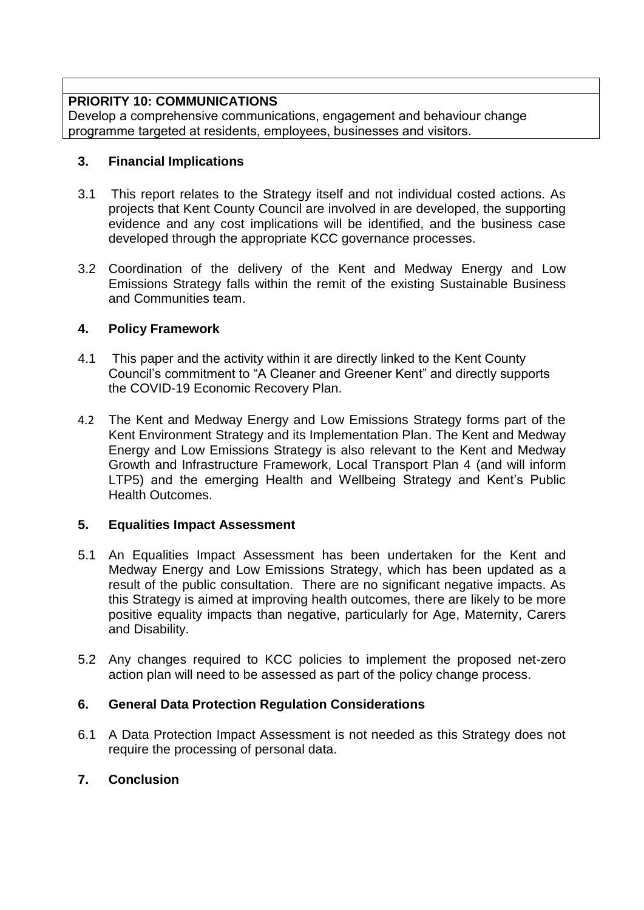### **PRIORITY 10: COMMUNICATIONS**

Develop a comprehensive communications, engagement and behaviour change programme targeted at residents, employees, businesses and visitors.

### **3. Financial Implications**

- 3.1 This report relates to the Strategy itself and not individual costed actions. As projects that Kent County Council are involved in are developed, the supporting evidence and any cost implications will be identified, and the business case developed through the appropriate KCC governance processes.
- 3.2 Coordination of the delivery of the Kent and Medway Energy and Low Emissions Strategy falls within the remit of the existing Sustainable Business and Communities team.

#### **4. Policy Framework**

- 4.1 This paper and the activity within it are directly linked to the Kent County Council's commitment to "A Cleaner and Greener Kent" and directly supports the COVID-19 Economic Recovery Plan.
- 4.2 The Kent and Medway Energy and Low Emissions Strategy forms part of the Kent Environment Strategy and its Implementation Plan. The Kent and Medway Energy and Low Emissions Strategy is also relevant to the Kent and Medway Growth and Infrastructure Framework, Local Transport Plan 4 (and will inform LTP5) and the emerging Health and Wellbeing Strategy and Kent's Public Health Outcomes.

### **5. Equalities Impact Assessment**

- 5.1 An Equalities Impact Assessment has been undertaken for the Kent and Medway Energy and Low Emissions Strategy, which has been updated as a result of the public consultation. There are no significant negative impacts. As this Strategy is aimed at improving health outcomes, there are likely to be more positive equality impacts than negative, particularly for Age, Maternity, Carers and Disability.
- 5.2 Any changes required to KCC policies to implement the proposed net-zero action plan will need to be assessed as part of the policy change process.

### **6. General Data Protection Regulation Considerations**

6.1 A Data Protection Impact Assessment is not needed as this Strategy does not require the processing of personal data.

### **7. Conclusion**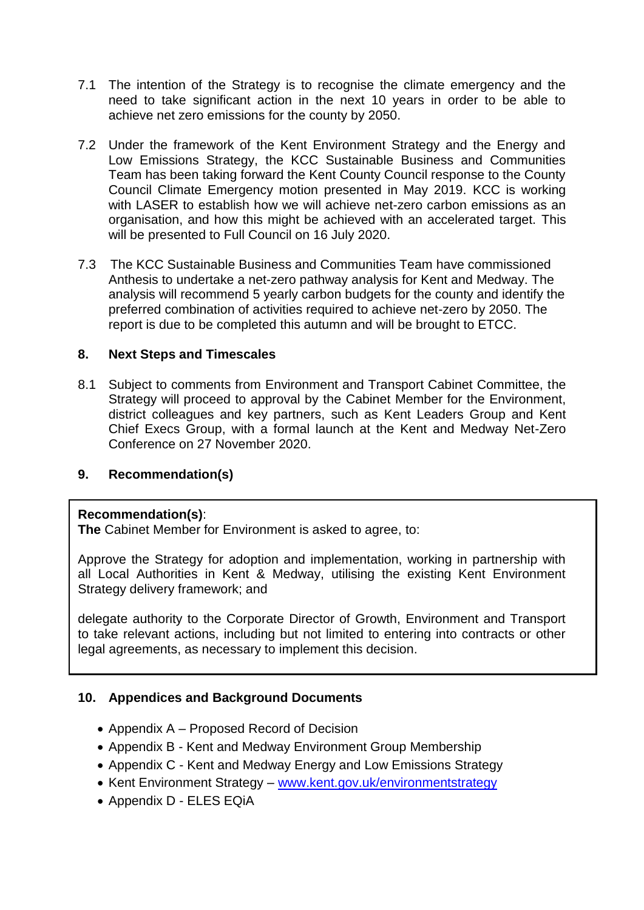- 7.1 The intention of the Strategy is to recognise the climate emergency and the need to take significant action in the next 10 years in order to be able to achieve net zero emissions for the county by 2050.
- 7.2 Under the framework of the Kent Environment Strategy and the Energy and Low Emissions Strategy, the KCC Sustainable Business and Communities Team has been taking forward the Kent County Council response to the County Council Climate Emergency motion presented in May 2019. KCC is working with LASER to establish how we will achieve net-zero carbon emissions as an organisation, and how this might be achieved with an accelerated target. This will be presented to Full Council on 16 July 2020.
- 7.3 The KCC Sustainable Business and Communities Team have commissioned Anthesis to undertake a net-zero pathway analysis for Kent and Medway. The analysis will recommend 5 yearly carbon budgets for the county and identify the preferred combination of activities required to achieve net-zero by 2050. The report is due to be completed this autumn and will be brought to ETCC.

#### **8. Next Steps and Timescales**

8.1 Subject to comments from Environment and Transport Cabinet Committee, the Strategy will proceed to approval by the Cabinet Member for the Environment, district colleagues and key partners, such as Kent Leaders Group and Kent Chief Execs Group, with a formal launch at the Kent and Medway Net-Zero Conference on 27 November 2020.

#### **9. Recommendation(s)**

#### **Recommendation(s)**:

**The** Cabinet Member for Environment is asked to agree, to:

Approve the Strategy for adoption and implementation, working in partnership with all Local Authorities in Kent & Medway, utilising the existing Kent Environment Strategy delivery framework; and

delegate authority to the Corporate Director of Growth, Environment and Transport to take relevant actions, including but not limited to entering into contracts or other legal agreements, as necessary to implement this decision.

### **10. Appendices and Background Documents**

- Appendix A Proposed Record of Decision
- Appendix B Kent and Medway Environment Group Membership
- Appendix C Kent and Medway Energy and Low Emissions Strategy
- Kent Environment Strategy [www.kent.gov.uk/environmentstrategy](http://www.kent.gov.uk/environmentstrategy)
- Appendix D ELES EQiA